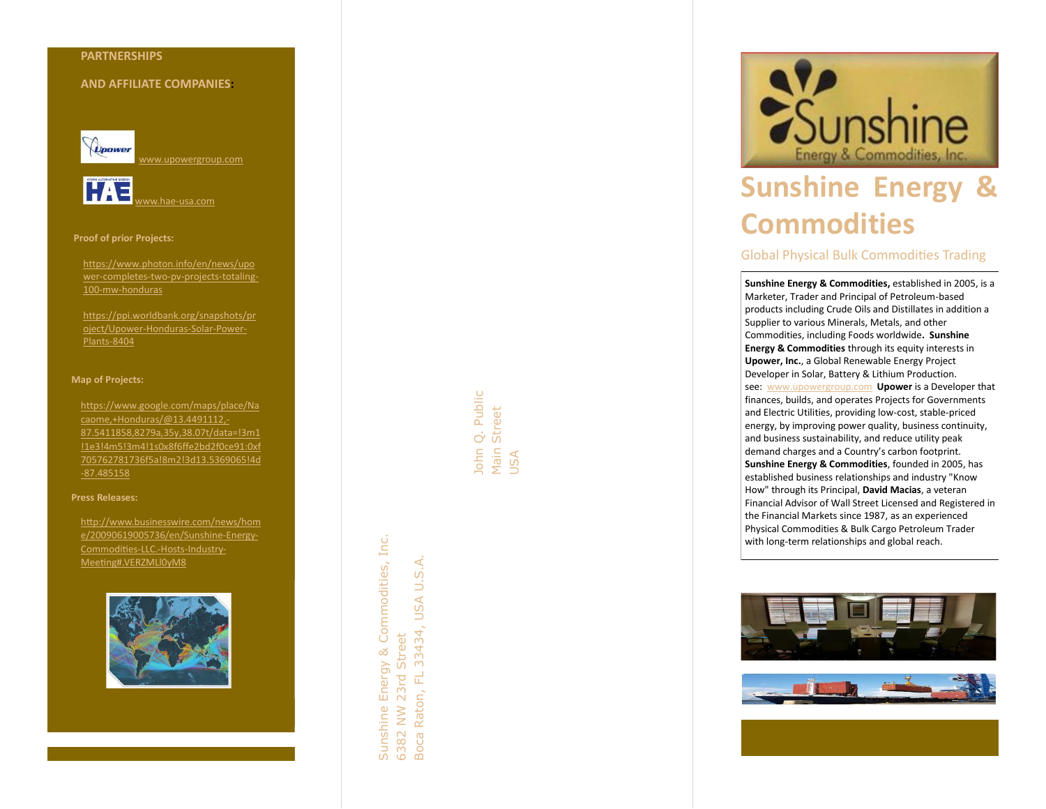## **PARTNERSHIP S**

## **AND AFFILIATE COMPANIES :**



[www.upowergroup.com](http://www.upowergroup.com/)



### **Proof of prior Projects:**

[https://www.photon.info/en/news/upo](https://www.photon.info/en/news/upower-completes-two-pv-projects-totaling-100-mw-honduras) wer[-completes](https://www.photon.info/en/news/upower-completes-two-pv-projects-totaling-100-mw-honduras)-two-pv-projects-totaling-100 -mw [-honduras](https://www.photon.info/en/news/upower-completes-two-pv-projects-totaling-100-mw-honduras)

[https://ppi.worldbank.org/snapshots/pr](https://ppi.worldbank.org/snapshots/project/Upower-Honduras-Solar-Power-Plants-8404) <u>[oject/Upower](https://ppi.worldbank.org/snapshots/project/Upower-Honduras-Solar-Power-Plants-8404)-Honduras-Solar-Power-</u> [Plants](https://ppi.worldbank.org/snapshots/project/Upower-Honduras-Solar-Power-Plants-8404) -8404

### **Map of Projects:**

[https://www.google.com/maps/place/Na](https://www.google.com/maps/place/Nacaome,+Honduras/@13.4491112,-87.5411858,8279a,35y,38.07t/data=!3m1!1e3!4m5!3m4!1s0x8f6ffe2bd2f0ce91:0xf705762781736f5a!8m2!3d13.5369065!4d-87.485158) [caome,+Honduras/@13.4491112,](https://www.google.com/maps/place/Nacaome,+Honduras/@13.4491112,-87.5411858,8279a,35y,38.07t/data=!3m1!1e3!4m5!3m4!1s0x8f6ffe2bd2f0ce91:0xf705762781736f5a!8m2!3d13.5369065!4d-87.485158) - [87.5411858,8279a,35y,38.07t/data=!3m1](https://www.google.com/maps/place/Nacaome,+Honduras/@13.4491112,-87.5411858,8279a,35y,38.07t/data=!3m1!1e3!4m5!3m4!1s0x8f6ffe2bd2f0ce91:0xf705762781736f5a!8m2!3d13.5369065!4d-87.485158) [!1e3!4m5!3m4!1s0x8f6ffe2bd2f0ce91:0xf](https://www.google.com/maps/place/Nacaome,+Honduras/@13.4491112,-87.5411858,8279a,35y,38.07t/data=!3m1!1e3!4m5!3m4!1s0x8f6ffe2bd2f0ce91:0xf705762781736f5a!8m2!3d13.5369065!4d-87.485158) [705762781736f5a!8m2!3d13.5369065!4d](https://www.google.com/maps/place/Nacaome,+Honduras/@13.4491112,-87.5411858,8279a,35y,38.07t/data=!3m1!1e3!4m5!3m4!1s0x8f6ffe2bd2f0ce91:0xf705762781736f5a!8m2!3d13.5369065!4d-87.485158) [-87.485158](https://www.google.com/maps/place/Nacaome,+Honduras/@13.4491112,-87.5411858,8279a,35y,38.07t/data=!3m1!1e3!4m5!3m4!1s0x8f6ffe2bd2f0ce91:0xf705762781736f5a!8m2!3d13.5369065!4d-87.485158)

### **Press Releases:**

[http://www.businesswire.com/news/hom](http://www.businesswire.com/news/home/20090619005736/en/Sunshine-Energy-Commodities-LLC.-Hosts-Industry-Meeting#.VERZMLl0yM8) [e/20090619005736/en/Sunshine](http://www.businesswire.com/news/home/20090619005736/en/Sunshine-Energy-Commodities-LLC.-Hosts-Industry-Meeting#.VERZMLl0yM8) -Energy - [Commodities](http://www.businesswire.com/news/home/20090619005736/en/Sunshine-Energy-Commodities-LLC.-Hosts-Industry-Meeting#.VERZMLl0yM8) -LLC. -Hosts -Industry - [Meeting#.VERZMLl0yM8](http://www.businesswire.com/news/home/20090619005736/en/Sunshine-Energy-Commodities-LLC.-Hosts-Industry-Meeting#.VERZMLl0yM8)



John Q. Public John Q. Public Main Street USA

Sunshine Energy & Commodities, Inc.

Sunshine Energy & Commodities, Inc.

6382 NW 23rd Street

6382 NW 23rd Street Raton, FL

Boca Raton, FL 33434, USA U.S.A.

Boca I

33434, USA U.S.A.



# **Sunshine Energy & Commodities**

# Global Physical Bulk Commodities Trading

**Sunshine Energy & Commodities,** established in 2005, is a Marketer, Trader and Principal of Petroleum -based products including Crude Oils and Distillates in addition a Supplier to various Minerals, Metals, and other Commodities, including Foods worldwide **. Sunshine Energy & Commodities** through its equity interests in **Upower, Inc.**, a Global Renewable Energy Project Developer in Solar, Battery & Lithium Production. see: [www.upowergroup.com](http://www.upowergroup.com/) **Upower** is a Developer that finances, builds, and operates Projects for Governments and Electric Utilities, providing low -cost, stable -priced energy, by improving power quality, business continuity, and business sustainability, and reduce utility peak demand charges and a Country's carbon footprint. **Sunshine Energy & Commodities**, founded in 2005, has established business relationships and industry "Know How" through its Principal, **David Macias**, a veteran Financial Advisor of Wall Street Licensed and Registered in the Financial Markets since 1987, as an experienced Physical Commodities & Bulk Cargo Petroleum Trader with long -term relationships and global reach.